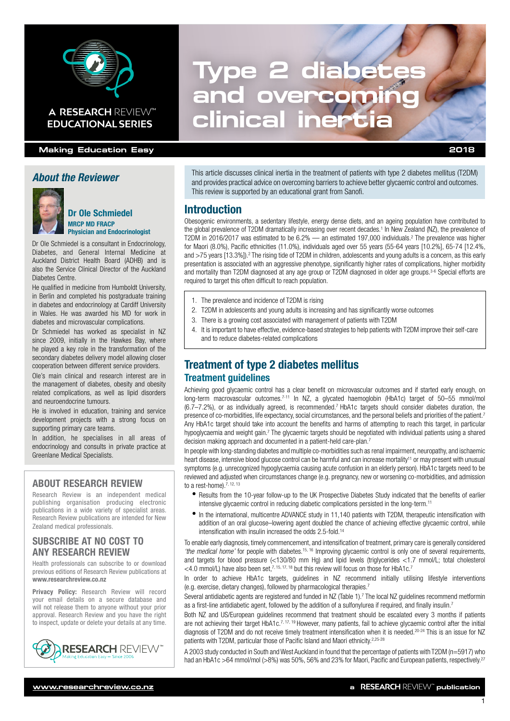

### **Making Education Easy 2018**

# *About the Reviewer*



Dr Ole Schmiedel MRCP MD FRACP Physician and Endocrinologist

Dr Ole Schmiedel is a consultant in Endocrinology, Diabetes, and General Internal Medicine at Auckland District Health Board (ADHB) and is also the Service Clinical Director of the Auckland Diabetes Centre.

He qualified in medicine from Humboldt University, in Berlin and completed his postgraduate training in diabetes and endocrinology at Cardiff University in Wales. He was awarded his MD for work in diabetes and microvascular complications.

Dr Schmiedel has worked as specialist in NZ since 2009, initially in the Hawkes Bay, where he played a key role in the transformation of the secondary diabetes delivery model allowing closer cooperation between different service providers.

Ole's main clinical and research interest are in the management of diabetes, obesity and obesity related complications, as well as lipid disorders and neuroendocrine tumours.

He is involved in education, training and service development projects with a strong focus on supporting primary care teams.

In addition, he specialises in all areas of endocrinology and consults in private practice at Greenlane Medical Specialists.

# ABOUT RESEARCH REVIEW

Research Review is an independent medical publishing organisation producing electronic publications in a wide variety of specialist areas. Research Review publications are intended for New Zealand medical professionals.

# SUBSCRIBE AT NO COST TO ANY RESEARCH REVIEW

Health professionals can subscribe to or download previous editions of Research Review publications at [www.researchreview.co.nz](http://www.researchreview.co.nz)

Privacy Policy: [Research Review will record](http://www.researchreview.co.nz) [your email details on a secure database and](http://www.researchreview.co.nz)  [will not release them to anyone without your prior](http://www.researchreview.co.nz) [approval. Research Review and you have the right](http://www.researchreview.co.nz) [to inspect, update or delete your details at any time.](http://www.researchreview.co.nz)



# **Type 2 diabetes and overcoming A RESEARCH REVIEW™ clinical inertia**

This article discusses clinical inertia in the treatment of patients with type 2 diabetes mellitus (T2DM) and provides practical advice on overcoming barriers to achieve better glycaemic control and outcomes. This review is supported by an educational grant from Sanofi.

# Introduction

Obesogenic environments, a sedentary lifestyle, energy dense diets, and an ageing population have contributed to the global prevalence of T2DM dramatically increasing over recent decades.<sup>1</sup> In New Zealand (NZ), the prevalence of T2DM in 2016/2017 was estimated to be 6.2% — an estimated 197,000 individuals.<sup>2</sup> The prevalence was higher for Maori (8.0%), Pacific ethnicities (11.0%), individuals aged over 55 years (55-64 years [10.2%], 65-74 [12.4%, and >75 years [13.3%]).<sup>2</sup> The rising tide of T2DM in children, adolescents and young adults is a concern, as this early presentation is associated with an aggressive phenotype, significantly higher rates of complications, higher morbidity and mortality than T2DM diagnosed at any age group or T2DM diagnosed in older age groups.<sup>3-6</sup> Special efforts are required to target this often difficult to reach population.

- 1. The prevalence and incidence of T2DM is rising
- 2. T2DM in adolescents and young adults is increasing and has significantly worse outcomes
- 3. There is a growing cost associated with management of patients with T2DM
- 4. It is important to have effective, evidence-based strategies to help patients with T2DM improve their self-care and to reduce diabetes-related complications

# Treatment of type 2 diabetes mellitus Treatment guidelines

Achieving good glycaemic control has a clear benefit on microvascular outcomes and if started early enough, on long-term macrovascular outcomes.<sup>7-11</sup> In NZ, a glycated haemoglobin (HbA1c) target of 50–55 mmol/mol (6.7–7.2%), or as individually agreed, is recommended.7 HbA1c targets should consider diabetes duration, the presence of co-morbidities, life expectancy, social circumstances, and the personal beliefs and priorities of the patient.<sup>7</sup> Any HbA1c target should take into account the benefits and harms of attempting to reach this target, in particular hypoglycaemia and weight gain.<sup>7</sup> The glycaemic targets should be negotiated with individual patients using a shared decision making approach and documented in a patient-held care-plan.7

In people with long-standing diabetes and multiple co-morbidities such as renal impairment, neuropathy, and ischaemic heart disease, intensive blood glucose control can be harmful and can increase mortality<sup>11</sup> or may present with unusual symptoms (e.g. unrecognized hypoglycaemia causing acute confusion in an elderly person). HbA1c targets need to be reviewed and adjusted when circumstances change (e.g. pregnancy, new or worsening co-morbidities, and admission to a rest-home).<sup>7, 12, 13</sup>

- • Results from the 10-year follow-up to the UK Prospective Diabetes Study indicated that the benefits of earlier intensive glycaemic control in reducing diabetic complications persisted in the long-term.11
- • In the international, multicentre ADVANCE study in 11,140 patients with T2DM, therapeutic intensification with addition of an oral glucose–lowering agent doubled the chance of achieving effective glycaemic control, while intensification with insulin increased the odds 2.5-fold.14

To enable early diagnosis, timely commencement, and intensification of treatment, primary care is generally considered *'the medical home'* for people with diabetes.15, 16 Improving glycaemic control is only one of several requirements, and targets for blood pressure (<130/80 mm Hg) and lipid levels (triglycerides <1.7 mmol/L; total cholesterol  $\leq$ 4.0 mmol/L) have also been set.<sup>7, 15, 17, 18</sup> but this review will focus on those for HbA1c.<sup>7</sup>

In order to achieve HbA1c targets, guidelines in NZ recommend initially utilising lifestyle interventions (e.g. exercise, dietary changes), followed by pharmacological therapies.7

Several antidiabetic agents are registered and funded in NZ (Table 1).<sup>7</sup> The local NZ guidelines recommend metformin as a first-line antidiabetic agent, followed by the addition of a sulfonylurea if required, and finally insulin.<sup>7</sup>

Both NZ and US/European guidelines recommend that treatment should be escalated every 3 months if patients are not achieving their target HbA1c.7, 17, 19 However, many patients, fail to achieve glycaemic control after the initial diagnosis of T2DM and do not receive timely treatment intensification when it is needed.<sup>20-24</sup> This is an issue for NZ patients with T2DM, particular those of Pacific Island and Maori ethnicity.<sup>2,25-28</sup>

A 2003 study conducted in South and West Auckland in found that the percentage of patients with T2DM (n=5917) who had an HbA1c >64 mmol/mol (>8%) was 50%, 56% and 23% for Maori, Pacific and European patients, respectively.<sup>27</sup>

1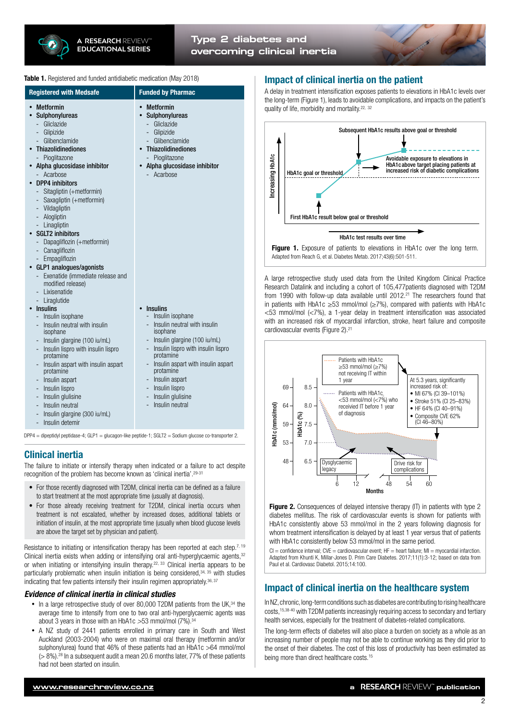

# **Type 2 diabetes and overcoming clinical inertia**

#### Table 1. Registered and funded antidiabetic medication (May 2018)

| <b>Registered with Medsafe</b>                                                                                                                                                                                                                                                                                                                                                                                                                               | <b>Funded by Pharmac</b>                                                                                                                                                                                                                                          | A delay                                                                                                        |
|--------------------------------------------------------------------------------------------------------------------------------------------------------------------------------------------------------------------------------------------------------------------------------------------------------------------------------------------------------------------------------------------------------------------------------------------------------------|-------------------------------------------------------------------------------------------------------------------------------------------------------------------------------------------------------------------------------------------------------------------|----------------------------------------------------------------------------------------------------------------|
| <b>Metformin</b><br>Sulphonylureas<br>Gliclazide<br>$\sim$<br>Glipizide<br>Glibenclamide<br>Thiazolidinediones<br>Pioglitazone<br>÷.<br>• Alpha glucosidase inhibitor<br>- Acarbose<br><b>DPP4</b> inhibitors<br>Sitagliptin (+metformin)<br>$\overline{\phantom{a}}$<br>Saxagliptin (+metformin)<br>- Vildagliptin<br>- Alogliptin<br>Linagliptin<br>÷<br><b>SGLT2 inhibitors</b>                                                                           | <b>Metformin</b><br>Sulphonylureas<br>$\bullet$<br>Gliclazide<br>u,<br>Glipizide<br>- Glibenclamide<br>Thiazolidinediones<br>Pioglitazone<br>÷.<br>• Alpha glucosidase inhibitor<br>- Acarbose                                                                    | the long<br>quality o<br>ncreasing HbA1c                                                                       |
| Dapagliflozin (+metformin)<br>Canagliflozin<br>÷.<br>Empagliflozin<br>÷.<br>GLP1 analogues/agonists<br>Exenatide (immediate release and<br>modified release)<br>- Lixisenatide<br>- Liraglutide<br><b>Insulins</b><br>Insulin isophane<br>Insulin neutral with insulin<br>isophane<br>Insulin glargine (100 iu/mL)<br>Insulin lispro with insulin lispro<br>protamine<br>Insulin aspart with insulin aspart<br>protamine<br>Insulin aspart<br>Insulin lispro | <b>Insulins</b><br>Insulin isophane<br>÷.<br>- Insulin neutral with insulin<br>isophane<br>Insulin glargine (100 iu/mL)<br>Insulin lispro with insulin lispro<br>protamine<br>Insulin aspart with insulin aspart<br>protamine<br>Insulin aspart<br>Insulin lispro | <b>Figur</b><br>Adapte<br>A large<br>Researc<br>from 19<br>in patier<br>$<$ 53 $m$<br>with an<br>cardiova<br>6 |
| Insulin glulisine<br>Insulin neutral<br>Insulin glargine (300 iu/mL)<br>$\overline{\phantom{a}}$<br>Insulin detemir<br>$DPP4 =$ dipeptidyl peptidase-4; GLP1 = glucagon-like peptide-1; SGLT2 = Sodium glucose co-transporter 2.                                                                                                                                                                                                                             | Insulin glulisine<br>Insulin neutral                                                                                                                                                                                                                              | A1c (mmol/mol)<br>6<br>5                                                                                       |

# Clinical inertia

The failure to initiate or intensify therapy when indicated or a failure to act despite recognition of the problem has become known as 'clinical inertia'.29-31

- For those recently diagnosed with T2DM, clinical inertia can be defined as a failure to start treatment at the most appropriate time (usually at diagnosis).
- For those already receiving treatment for T2DM, clinical inertia occurs when treatment is not escalated, whether by increased doses, additional tablets or initiation of insulin, at the most appropriate time (usually when blood glucose levels are above the target set by physician and patient).

Resistance to initiating or intensification therapy has been reported at each step.7, 19 Clinical inertia exists when adding or intensifying oral anti-hyperglycaemic agents, 32 or when initiating or intensifying insulin therapy.<sup>22, 33</sup> Clinical inertia appears to be particularly problematic when insulin initiation is being considered,  $34$ ,  $35$  with studies indicating that few patients intensify their insulin regimen appropriately.<sup>36, 37</sup>

# *Evidence of clinical inertia in clinical studies*

- In a large retrospective study of over 80,000 T2DM patients from the UK.<sup>34</sup> the average time to intensify from one to two oral anti-hyperglycaemic agents was about 3 years in those with an HbA1c *>*53 mmol/mol (7%).34
- A NZ study of 2441 patients enrolled in primary care in South and West Auckland (2003-2004) who were on maximal oral therapy (metformin and/or sulphonylurea) found that 46% of these patients had an HbA1c >64 mmol/mol  $(> 8\%)$ .<sup>28</sup> In a subsequent audit a mean 20.6 months later, 77% of these patients had not been started on insulin.

# Ict of clinical inertia on the patient

in treatment intensification exposes patients to elevations in HbA1c levels over term (Figure 1), leads to avoidable complications, and impacts on the patient's of life, morbidity and mortality.<sup>22, 32</sup>





retrospective study used data from the United Kingdom Clinical Practice ch Datalink and including a cohort of 105,477patients diagnosed with T2DM  $990$  with follow-up data available until 2012.<sup>21</sup> The researchers found that nts with HbA1c ≥53 mmol/mol (≥7%), compared with patients with HbA1c mol/mol (<7%), a 1-year delay in treatment intensification was associated increased risk of myocardial infarction, stroke, heart failure and composite ascular events (Figure 2).<sup>21</sup>



Figure 2. Consequences of delayed intensive therapy (IT) in patients with type 2 diabetes mellitus. The risk of cardiovascular events is shown for patients with HbA1c consistently above 53 mmol/mol in the 2 years following diagnosis for whom treatment intensification is delayed by at least 1 year versus that of patients with HbA1c consistently below 53 mmol/mol in the same period.

 $Cl =$  confidence interval;  $CVE =$  cardiovascular event;  $HF =$  heart failure;  $MI =$  myocardial infarction. Adapted from Khunti K, Millar-Jones D. Prim Care Diabetes. 2017;11(1):3-12; based on data from Paul et al. Cardiovasc Diabetol. 2015;14:100.

# Impact of clinical inertia on the healthcare system

In NZ, chronic, long-term conditions such as diabetes are contributing to rising healthcare costs,15,38-40 with T2DM patients increasingly requiring access to secondary and tertiary health services, especially for the treatment of diabetes-related complications.

The long-term effects of diabetes will also place a burden on society as a whole as an increasing number of people may not be able to continue working as they did prior to the onset of their diabetes. The cost of this loss of productivity has been estimated as being more than direct healthcare costs.15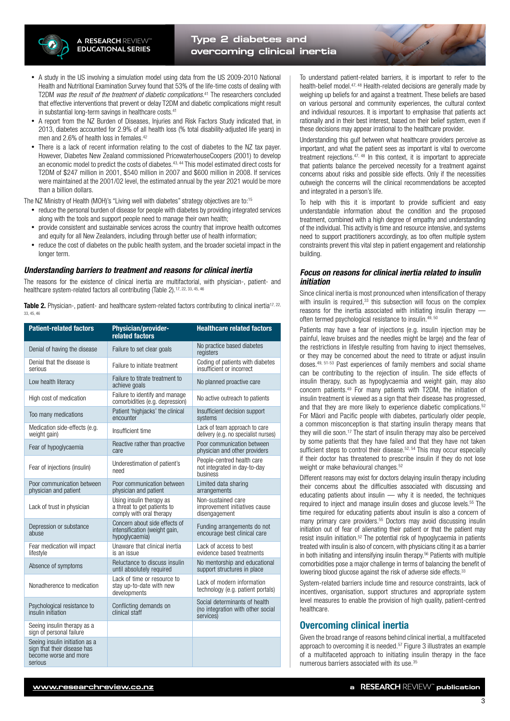

# **Type 2 diabetes and overcoming clinical inertia**

- A study in the US involving a simulation model using data from the US 2009-2010 National Health and Nutritional Examination Survey found that 53% of the life-time costs of dealing with T2DM *was the result of the treatment of diabetic complications*. <sup>41</sup> The researchers concluded that effective interventions that prevent or delay T2DM and diabetic complications might result in substantial long-term savings in healthcare costs.<sup>41</sup>
- A report from the NZ Burden of Diseases, Injuries and Risk Factors Study indicated that, in 2013, diabetes accounted for 2.9% of all health loss (% total disability-adjusted life years) in men and 2.6% of health loss in females.<sup>42</sup>
- There is a lack of recent information relating to the cost of diabetes to the NZ tax payer. However, Diabetes New Zealand commissioned PricewaterhouseCoopers (2001) to develop an economic model to predict the costs of diabetes.43, 44 This model estimated direct costs for T2DM of \$247 million in 2001, \$540 million in 2007 and \$600 million in 2008. If services were maintained at the 2001/02 level, the estimated annual by the year 2021 would be more than a billion dollars.

The NZ Ministry of Health (MOH)'s "Living well with diabetes" strategy objectives are to:<sup>15</sup>

- reduce the personal burden of disease for people with diabetes by providing integrated services along with the tools and support people need to manage their own health;
- provide consistent and sustainable services across the country that improve health outcomes and equity for all New Zealanders, including through better use of health information;
- reduce the cost of diabetes on the public health system, and the broader societal impact in the longer term.

#### *Understanding barriers to treatment and reasons for clinical inertia*

The reasons for the existence of clinical inertia are multifactorial, with physician-, patient- and healthcare system-related factors all contributing (Table 2).<sup>17, 22, 33, 45, 46</sup>

Table 2. Physician-, patient- and healthcare system-related factors contributing to clinical inertia<sup>17, 22,</sup> 33, 45, 46

| <b>Patient-related factors</b>                                                                    | Physician/provider-<br>related factors                                              | <b>Healthcare related factors</b>                                               |
|---------------------------------------------------------------------------------------------------|-------------------------------------------------------------------------------------|---------------------------------------------------------------------------------|
| Denial of having the disease                                                                      | Failure to set clear goals                                                          | No practice based diabetes<br>registers                                         |
| Denial that the disease is<br>serious                                                             | Failure to initiate treatment                                                       | Coding of patients with diabetes<br>insufficient or incorrect                   |
| Low health literacy                                                                               | Failure to titrate treatment to<br>achieve goals                                    | No planned proactive care                                                       |
| High cost of medication                                                                           | Failure to identify and manage<br>comorbidities (e.g. depression)                   | No active outreach to patients                                                  |
| Too many medications                                                                              | Patient 'highjacks' the clinical<br>encounter                                       | Insufficient decision support<br>systems                                        |
| Medication side-effects (e.g.<br>weight gain)                                                     | Insufficient time                                                                   | Lack of team approach to care<br>delivery (e.g. no specialist nurses)           |
| Fear of hypoglycaemia                                                                             | Reactive rather than proactive<br>care                                              | Poor communication between<br>physician and other providers                     |
| Fear of injections (insulin)                                                                      | Underestimation of patient's<br>need                                                | People-centred health care<br>not integrated in day-to-day<br>business          |
| Poor communication between<br>physician and patient                                               | Poor communication between<br>physician and patient                                 | Limited data sharing<br>arrangements                                            |
| Lack of trust in physician                                                                        | Using insulin therapy as<br>a threat to get patients to<br>comply with oral therapy | Non-sustained care<br>improvement initiatives cause<br>disengagement            |
| Depression or substance<br>abuse                                                                  | Concern about side effects of<br>intensification (weight gain,<br>hypoglycaemia)    | Funding arrangements do not<br>encourage best clinical care                     |
| Fear medication will impact<br>lifestyle                                                          | Unaware that clinical inertia<br>is an issue                                        | Lack of access to best<br>evidence based treatments                             |
| Absence of symptoms                                                                               | Reluctance to discuss insulin<br>until absolutely required                          | No mentorship and educational<br>support structures in place                    |
| Nonadherence to medication                                                                        | Lack of time or resource to<br>stay up-to-date with new<br>developments             | Lack of modern information<br>technology (e.g. patient portals)                 |
| Psychological resistance to<br>insulin initiation                                                 | Conflicting demands on<br>clinical staff                                            | Social determinants of health<br>(no integration with other social<br>services) |
| Seeing insulin therapy as a<br>sign of personal failure                                           |                                                                                     |                                                                                 |
| Seeing insulin initiation as a<br>sign that their disease has<br>become worse and more<br>serious |                                                                                     |                                                                                 |
|                                                                                                   |                                                                                     |                                                                                 |

To understand patient-related barriers, it is important to refer to the health-belief model.47, 48 Health-related decisions are generally made by weighing up beliefs for and against a treatment. These beliefs are based on various personal and community experiences, the cultural context and individual resources. It is important to emphasise that patients act rationally and in their best interest, based on their belief system, even if these decisions may appear irrational to the healthcare provider.

Understanding this gulf between what healthcare providers perceive as important, and what the patient sees as important is vital to overcome treatment rejections.<sup>47, 48</sup> In this context, it is important to appreciate that patients balance the perceived necessity for a treatment against concerns about risks and possible side effects. Only if the necessities outweigh the concerns will the clinical recommendations be accepted and integrated in a person's life.

To help with this it is important to provide sufficient and easy understandable information about the condition and the proposed treatment, combined with a high degree of empathy and understanding of the individual. This activity is time and resource intensive, and systems need to support practitioners accordingly, as too often multiple system constraints prevent this vital step in patient engagement and relationship building.

#### *Focus on reasons for clinical inertia related to insulin initiation*

Since clinical inertia is most pronounced when intensification of therapy with insulin is required,<sup>33</sup> this subsection will focus on the complex reasons for the inertia associated with initiating insulin therapy often termed psychological resistance to insulin.<sup>49, 50</sup>

Patients may have a fear of injections (e.g. insulin injection may be painful, leave bruises and the needles might be large) and the fear of the restrictions in lifestyle resulting from having to inject themselves, or they may be concerned about the need to titrate or adjust insulin doses.49, 51-53 Past experiences of family members and social shame can be contributing to the rejection of insulin. The side effects of insulin therapy, such as hypoglycaemia and weight gain, may also concern patients.49 For many patients with T2DM, the initiation of insulin treatment is viewed as a sign that their disease has progressed, and that they are more likely to experience diabetic complications.<sup>52</sup> For Mäori and Pacific people with diabetes, particularly older people, a common misconception is that starting insulin therapy means that they will die soon.17 The start of insulin therapy may also be perceived by some patients that they have failed and that they have not taken sufficient steps to control their disease.<sup>52, 54</sup> This may occur especially if their doctor has threatened to prescribe insulin if they do not lose weight or make behavioural changes.<sup>52</sup>

Different reasons may exist for doctors delaying insulin therapy including their concerns about the difficulties associated with discussing and educating patients about insulin — why it is needed, the techniques required to inject and manage insulin doses and glucose levels.<sup>55</sup> The time required for educating patients about insulin is also a concern of many primary care providers.<sup>55</sup> Doctors may avoid discussing insulin initiation out of fear of alienating their patient or that the patient may resist insulin initiation.52 The potential risk of hypoglycaemia in patients treated with insulin is also of concern, with physicians citing it as a barrier in both initiating and intensifying insulin therapy.56 Patients with multiple comorbidities pose a major challenge in terms of balancing the benefit of lowering blood glucose against the risk of adverse side effects.<sup>33</sup>

System-related barriers include time and resource constraints, lack of incentives, organisation, support structures and appropriate system level measures to enable the provision of high quality, patient-centred healthcare.

# Overcoming clinical inertia

Given the broad range of reasons behind clinical inertial, a multifaceted approach to overcoming it is needed.57 Figure 3 illustrates an example of a multifaceted approach to initiating insulin therapy in the face numerous barriers associated with its use.35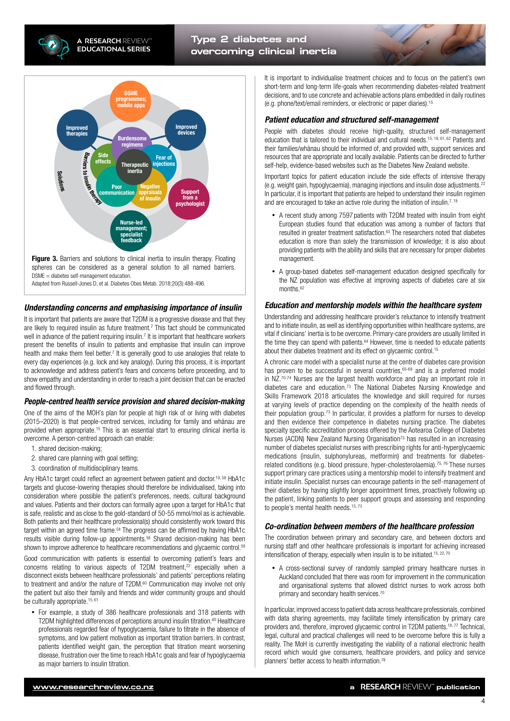**A RESEARCH** REVIEW™ **EDUCATIONAL SERIES**

# **Type 2 diabetes and overcoming clinical inertia**



Adapted from Russell-Jones D, et al. Diabetes Obes Metab. 2018;20(3):488-496.

### *Understanding concerns and emphasising importance of insulin*

It is important that patients are aware that T2DM is a progressive disease and that they are likely to required insulin as future treatment.<sup>7</sup> This fact should be communicated well in advance of the patient requiring insulin.<sup>7</sup> It is important that healthcare workers present the benefits of insulin to patients and emphasise that insulin can improve health and make them feel better.<sup>7</sup> It is generally good to use analogies that relate to every day experiences (e.g. lock and key analogy). During this process, it is important to acknowledge and address patient's fears and concerns before proceeding, and to show empathy and understanding in order to reach a joint decision that can be enacted and flowed through.

#### *People-centred health service provision and shared decision-making*

One of the aims of the MOH's plan for people at high risk of or living with diabetes (2015–2020) is that people-centred services, including for family and whānau are provided when appropriate.15 This is an essential start to ensuring clinical inertia is overcome. A person-centred approach can enable:

- 1. shared decision-making;
- 2. shared care planning with goal setting;
- 3. coordination of multidisciplinary teams.

Any HbA1c target could reflect an agreement between patient and doctor.<sup>19, 58</sup> HbA1c targets and glucose-lowering therapies should therefore be individualised, taking into consideration where possible the patient's preferences, needs, cultural background and values. Patients and their doctors can formally agree upon a target for HbA1c that is safe, realistic and as close to the gold-standard of 50-55 mmol/mol as is achievable. Both patients and their healthcare professional(s) should consistently work toward this target within an agreed time frame.<sup>58</sup> The progress can be affirmed by having HbA1c results visible during follow-up appointments.58 Shared decision-making has been shown to improve adherence to healthcare recommendations and glycaemic control.<sup>59</sup>

Good communication with patients is essential to overcoming patient's fears and concerns relating to various aspects of T2DM treatment,<sup>22</sup> especially when a disconnect exists between healthcare professionals' and patients' perceptions relating to treatment and and/or the nature of T2DM.<sup>60</sup> Communication may involve not only the patient but also their family and friends and wider community groups and should be culturally appropriate.<sup>15, 61</sup>

• For example, a study of 386 healthcare professionals and 318 patients with T2DM highlighted differences of perceptions around insulin titration.<sup>60</sup> Healthcare professionals regarded fear of hypoglycaemia, failure to titrate in the absence of symptoms, and low patient motivation as important titration barriers. In contrast, patients identified weight gain, the perception that titration meant worsening disease, frustration over the time to reach HbA1c goals and fear of hypoglycaemia as major barriers to insulin titration.

It is important to individualise treatment choices and to focus on the patient's own short-term and long-term life-goals when recommending diabetes-related treatment decisions, and to use concrete and achievable actions plans embedded in daily routines (e.g. phone/text/email reminders, or electronic or paper diaries).15

#### *Patient education and structured self-management*

People with diabetes should receive high-quality, structured self-management education that is tailored to their individual and cultural needs.15, 18, 61, 62 Patients and their families/whānau should be informed of, and provided with, support services and resources that are appropriate and locally available. Patients can be directed to further self-help, evidence-based websites such as the Diabetes New Zealand website.

Important topics for patient education include the side effects of intensive therapy (e.g. weight gain, hypoglycaemia), managing injections and insulin dose adjustments.22 In particular, it is important that patients are helped to understand their insulin regimen and are encouraged to take an active role during the initiation of insulin.<sup>7, 18</sup>

- A recent study among 7597 patients with T2DM treated with insulin from eight European studies found that education was among a number of factors that resulted in greater treatment satisfaction.63 The researchers noted that diabetes education is more than solely the transmission of knowledge; it is also about providing patients with the ability and skills that are necessary for proper diabetes management.
- A group-based diabetes self-management education designed specifically for the NZ population was effective at improving aspects of diabetes care at six months.<sup>62</sup>

#### *Education and mentorship models within the healthcare system*

Understanding and addressing healthcare provider's reluctance to intensify treatment and to initiate insulin, as well as identifying opportunities within healthcare systems, are vital if clinicians' inertia is to be overcome. Primary-care providers are usually limited in the time they can spend with patients.<sup>64</sup> However, time is needed to educate patients about their diabetes treatment and its effect on glycaemic control.<sup>15</sup>

A chronic care model with a specialist nurse at the centre of diabetes care provision has proven to be successful in several countries, 65-69 and is a preferred model in NZ.<sup>70-74</sup> Nurses are the largest health workforce and play an important role in diabetes care and education.<sup>73</sup> The National Diabetes Nursing Knowledge and Skills Framework 2018 articulates the knowledge and skill required for nurses at varying levels of practice depending on the complexity of the health needs of their population group.<sup>73</sup> In particular, it provides a platform for nurses to develop and then evidence their competence in diabetes nursing practice. The diabetes specialty specific accreditation process offered by the Aotearoa College of Diabetes Nurses (ACDN) New Zealand Nursing Organisation<sup>73</sup> has resulted in an increasing number of diabetes specialist nurses with prescribing rights for anti-hyperglycaemic medications (insulin, sulphonylureas, metformin) and treatments for diabetesrelated conditions (e.g. blood pressure, hyper-cholesterolaemia).75, 76 These nurses support primary care practices using a mentorship model to intensify treatment and initiate insulin. Specialist nurses can encourage patients in the self-management of their diabetes by having slightly longer appointment times, proactively following up the patient, linking patients to peer support groups and assessing and responding to people's mental health needs.<sup>15, 73</sup>

#### *Co-ordination between members of the healthcare profession*

The coordination between primary and secondary care, and between doctors and nursing staff and other healthcare professionals is important for achieving increased intensification of therapy, especially when insulin is to be initiated.<sup>15, 22, 70</sup>

• A cross-sectional survey of randomly sampled primary healthcare nurses in Auckland concluded that there was room for improvement in the communication and organisational systems that allowed district nurses to work across both primary and secondary health services.70

In particular, improved access to patient data across healthcare professionals, combined with data sharing agreements, may facilitate timely intensification by primary care providers and, therefore, improved glycaemic control in T2DM patients.<sup>18, 77</sup> Technical, legal, cultural and practical challenges will need to be overcome before this is fully a reality. The MoH is currently investigating the viability of a national electronic health record which would give consumers, healthcare providers, and policy and service planners' better access to health information.78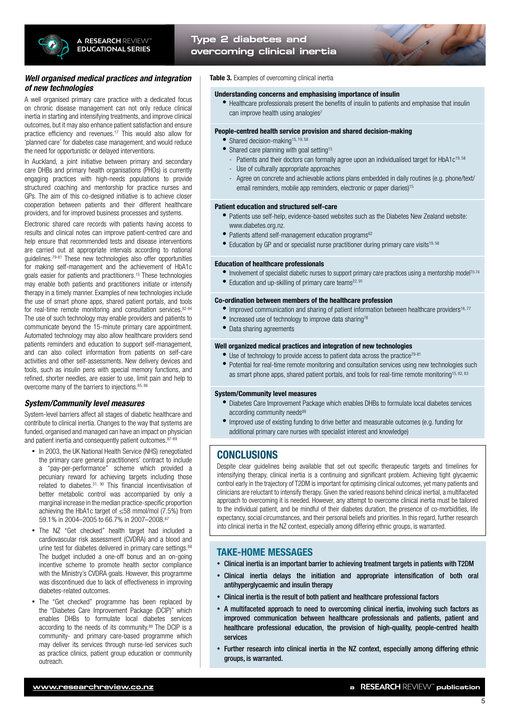

# **Type 2 diabetes and overcoming clinical inertia**

#### *Well organised medical practices and integration of new technologies*

A well organised primary care practice with a dedicated focus on chronic disease management can not only reduce clinical inertia in starting and intensifying treatments, and improve clinical outcomes, but it may also enhance patient satisfaction and ensure practice efficiency and revenues.17 This would also allow for 'planned care' for diabetes case management, and would reduce the need for opportunistic or delayed interventions.

In Auckland, a joint initiative between primary and secondary care DHBs and primary health organisations (PHOs) is currently engaging practices with high-needs populations to provide structured coaching and mentorship for practice nurses and GPs. The aim of this co-designed initiative is to achieve closer cooperation between patients and their different healthcare providers, and for improved business processes and systems.

Electronic shared care records with patients having access to results and clinical notes can improve patient-centred care and help ensure that recommended tests and disease interventions are carried out at appropriate intervals according to national guidelines.79-81 These new technologies also offer opportunities for making self-management and the achievement of HbA1c goals easier for patients and practitioners.15 These technologies may enable both patients and practitioners initiate or intensify therapy in a timely manner. Examples of new technologies include the use of smart phone apps, shared patient portals, and tools for real-time remote monitoring and consultation services.82-84 The use of such technology may enable providers and patients to communicate beyond the 15-minute primary care appointment. Automated technology may also allow healthcare providers send patients reminders and education to support self-management, and can also collect information from patients on self-care activities and other self-assessments. New delivery devices and tools, such as insulin pens with special memory functions, and refined, shorter needles, are easier to use, limit pain and help to overcome many of the barriers to injections. 85, 86

# *System/Community level measures*

System-level barriers affect all stages of diabetic healthcare and contribute to clinical inertia. Changes to the way that systems are funded, organised and managed can have an impact on physician and patient inertia and consequently patient outcomes. 87-89

- In 2003, the UK National Health Service (NHS) renegotiated the primary care general practitioners' contract to include a ''pay-per-performance'' scheme which provided a pecuniary reward for achieving targets including those related to diabetes.31, 90 This financial incentivisation of better metabolic control was accompanied by only a marginal increase in the median practice-specific proportion achieving the HbA1c target of ≤58 mmol/mol (7.5%) from 59.1% in 2004–2005 to 66.7% in 2007–2008.87
- The NZ "Get checked" health target had included a cardiovascular risk assessment (CVDRA) and a blood and urine test for diabetes delivered in primary care settings.<sup>88</sup> The budget included a one-off bonus and an on-going incentive scheme to promote health sector compliance with the Ministry's CVDRA goals. However, this programme was discontinued due to lack of effectiveness in improving diabetes-related outcomes.
- The "Get checked" programme has been replaced by the "Diabetes Care Improvement Package (DCIP)" which enables DHBs to formulate local diabetes services according to the needs of its community.<sup>89</sup> The DCIP is a community- and primary care-based programme which may deliver its services through nurse-led services such as practice clinics, patient group education or community outreach.

#### Table 3. Examples of overcoming clinical inertia

#### Understanding concerns and emphasising importance of insulin

• Healthcare professionals present the benefits of insulin to patients and emphasise that insulin can improve health using analogies<sup>7</sup>

#### People-centred health service provision and shared decision-making

- Shared decision-making<sup>15, 19, 58</sup>
- Shared care planning with goal setting<sup>15</sup>
	- Patients and their doctors can formally agree upon an individualised target for HbA1c<sup>19, 58</sup>
	- Use of culturally appropriate approaches
	- Agree on concrete and achievable actions plans embedded in daily routines (e.g. phone/text/ email reminders, mobile app reminders, electronic or paper diaries)<sup>15</sup>

#### Patient education and structured self-care

- Patients use self-help, evidence-based websites such as the Diabetes New Zealand website: www.diabetes.org.nz.
- Patients attend self-management education programs<sup>62</sup>
- Education by GP and or specialist nurse practitioner during primary care visits<sup>19, 58</sup>

#### Education of healthcare professionals

- Involvement of specialist diabetic nurses to support primary care practices using a mentorship model<sup>70-74</sup>
- Education and up-skilling of primary care teams<sup>22, 91</sup>

#### Co-ordination between members of the healthcare profession

- Improved communication and sharing of patient information between healthcare providers<sup>18, 77</sup>
- Increased use of technology to improve data sharing<sup>78</sup>
- Data sharing agreements

#### Well organized medical practices and integration of new technologies

- $\bullet$  Use of technology to provide access to patient data across the practice<sup>79-81</sup>
- Potential for real-time remote monitoring and consultation services using new technologies such as smart phone apps, shared patient portals, and tools for real-time remote monitoring<sup>15, 82, 83</sup>

#### System/Community level measures

- Diabetes Care Improvement Package which enables DHBs to formulate local diabetes services according community needs<sup>89</sup>
- • Improved use of existing funding to drive better and measurable outcomes (e.g. funding for additional primary care nurses with specialist interest and knowledge)

# CONCLUSIONS

Despite clear guidelines being available that set out specific therapeutic targets and timelines for intensifying therapy, clinical inertia is a continuing and significant problem. Achieving tight glycaemic control early in the trajectory of T2DM is important for optimising clinical outcomes, yet many patients and clinicians are reluctant to intensify therapy. Given the varied reasons behind clinical inertial, a multifaceted approach to overcoming it is needed. However, any attempt to overcome clinical inertia must be tailored to the individual patient, and be mindful of their diabetes duration, the presence of co-morbidities, life expectancy, social circumstances, and their personal beliefs and priorities. In this regard, further research into clinical inertia in the NZ context, especially among differing ethnic groups, is warranted.

# TAKE-HOME MESSAGES

- • Clinical inertia is an important barrier to achieving treatment targets in patients with T2DM
- • Clinical inertia delays the initiation and appropriate intensification of both oral antihyperglycaemic and insulin therapy
- • Clinical inertia is the result of both patient and healthcare professional factors
- A multifaceted approach to need to overcoming clinical inertia, involving such factors as improved communication between healthcare professionals and patients, patient and healthcare professional education, the provision of high-quality, people-centred health services
- • Further research into clinical inertia in the NZ context, especially among differing ethnic groups, is warranted.